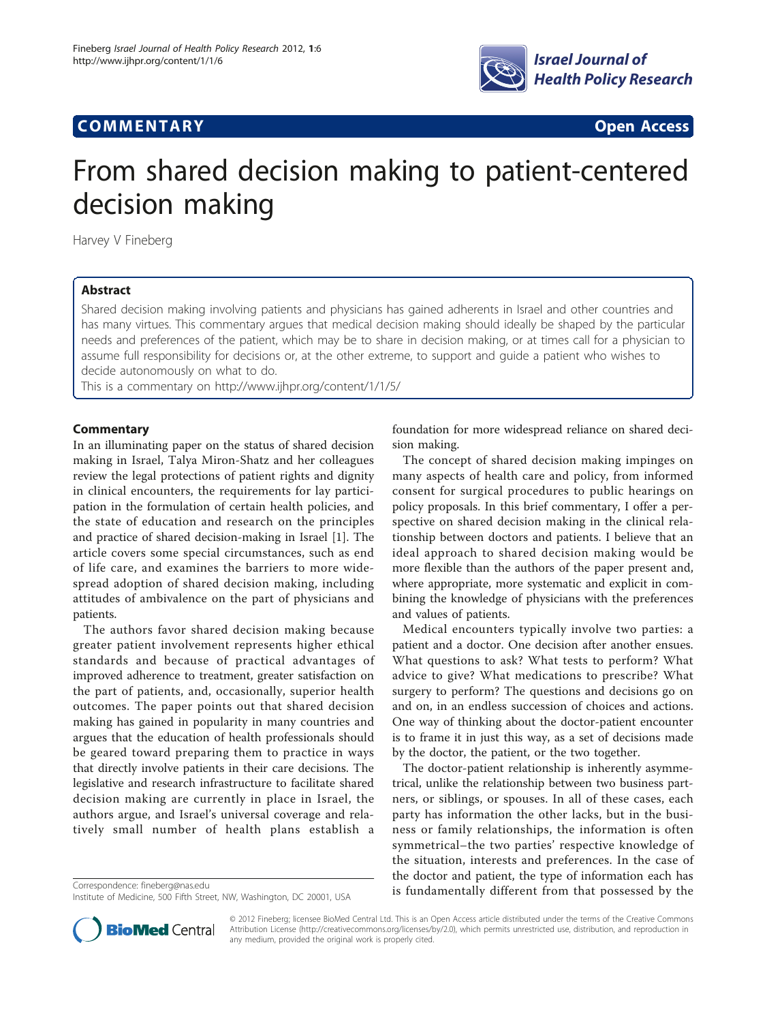## **COMMENTARY COMMENTARY Open Access**



# From shared decision making to patient-centered decision making

Harvey V Fineberg

### Abstract

Shared decision making involving patients and physicians has gained adherents in Israel and other countries and has many virtues. This commentary argues that medical decision making should ideally be shaped by the particular needs and preferences of the patient, which may be to share in decision making, or at times call for a physician to assume full responsibility for decisions or, at the other extreme, to support and guide a patient who wishes to decide autonomously on what to do.

This is a commentary on<http://www.ijhpr.org/content/1/1/5/>

#### **Commentary**

In an illuminating paper on the status of shared decision making in Israel, Talya Miron-Shatz and her colleagues review the legal protections of patient rights and dignity in clinical encounters, the requirements for lay participation in the formulation of certain health policies, and the state of education and research on the principles and practice of shared decision-making in Israel [[1\]](#page-1-0). The article covers some special circumstances, such as end of life care, and examines the barriers to more widespread adoption of shared decision making, including attitudes of ambivalence on the part of physicians and patients.

The authors favor shared decision making because greater patient involvement represents higher ethical standards and because of practical advantages of improved adherence to treatment, greater satisfaction on the part of patients, and, occasionally, superior health outcomes. The paper points out that shared decision making has gained in popularity in many countries and argues that the education of health professionals should be geared toward preparing them to practice in ways that directly involve patients in their care decisions. The legislative and research infrastructure to facilitate shared decision making are currently in place in Israel, the authors argue, and Israel's universal coverage and relatively small number of health plans establish a



The concept of shared decision making impinges on many aspects of health care and policy, from informed consent for surgical procedures to public hearings on policy proposals. In this brief commentary, I offer a perspective on shared decision making in the clinical relationship between doctors and patients. I believe that an ideal approach to shared decision making would be more flexible than the authors of the paper present and, where appropriate, more systematic and explicit in combining the knowledge of physicians with the preferences and values of patients.

Medical encounters typically involve two parties: a patient and a doctor. One decision after another ensues. What questions to ask? What tests to perform? What advice to give? What medications to prescribe? What surgery to perform? The questions and decisions go on and on, in an endless succession of choices and actions. One way of thinking about the doctor-patient encounter is to frame it in just this way, as a set of decisions made by the doctor, the patient, or the two together.

The doctor-patient relationship is inherently asymmetrical, unlike the relationship between two business partners, or siblings, or spouses. In all of these cases, each party has information the other lacks, but in the business or family relationships, the information is often symmetrical–the two parties' respective knowledge of the situation, interests and preferences. In the case of the doctor and patient, the type of information each has Correspondence: [fineberg@nas.edu](mailto:fineberg@nas.edu)<br>lpctitute of Medicine 500 Eifth Street NW Washington DC 20001 USA **Street is fundamentally different from that possessed by the** 



© 2012 Fineberg; licensee BioMed Central Ltd. This is an Open Access article distributed under the terms of the Creative Commons Attribution License [\(http://creativecommons.org/licenses/by/2.0](http://creativecommons.org/licenses/by/2.0)), which permits unrestricted use, distribution, and reproduction in any medium, provided the original work is properly cited.

Institute of Medicine, 500 Fifth Street, NW, Washington, DC 20001, USA